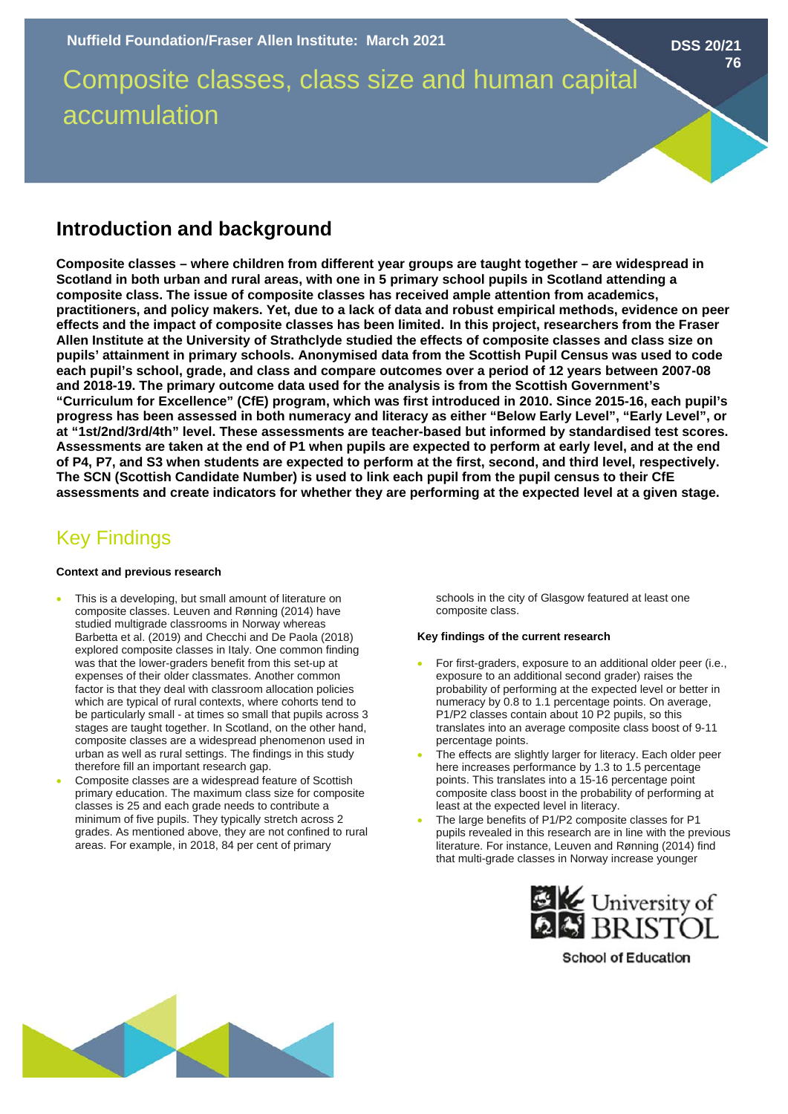Composite classes, class size and human capital accumulation

# **Introduction and background**

**Composite classes – where children from different year groups are taught together – are widespread in Scotland in both urban and rural areas, with one in 5 primary school pupils in Scotland attending a composite class. The issue of composite classes has received ample attention from academics, practitioners, and policy makers. Yet, due to a lack of data and robust empirical methods, evidence on peer effects and the impact of composite classes has been limited. In this project, researchers from the Fraser Allen Institute at the University of Strathclyde studied the effects of composite classes and class size on pupils' attainment in primary schools. Anonymised data from the Scottish Pupil Census was used to code each pupil's school, grade, and class and compare outcomes over a period of 12 years between 2007-08 and 2018-19. The primary outcome data used for the analysis is from the Scottish Government's "Curriculum for Excellence" (CfE) program, which was first introduced in 2010. Since 2015-16, each pupil's progress has been assessed in both numeracy and literacy as either "Below Early Level", "Early Level", or at "1st/2nd/3rd/4th" level. These assessments are teacher-based but informed by standardised test scores. Assessments are taken at the end of P1 when pupils are expected to perform at early level, and at the end of P4, P7, and S3 when students are expected to perform at the first, second, and third level, respectively. The SCN (Scottish Candidate Number) is used to link each pupil from the pupil census to their CfE assessments and create indicators for whether they are performing at the expected level at a given stage.**

# Key Findings

#### **Context and previous research**

- This is a developing, but small amount of literature on composite classes. Leuven and Rønning (2014) have studied multigrade classrooms in Norway whereas Barbetta et al. (2019) and Checchi and De Paola (2018) explored composite classes in Italy. One common finding was that the lower-graders benefit from this set-up at expenses of their older classmates. Another common factor is that they deal with classroom allocation policies which are typical of rural contexts, where cohorts tend to be particularly small - at times so small that pupils across 3 stages are taught together. In Scotland, on the other hand, composite classes are a widespread phenomenon used in urban as well as rural settings. The findings in this study therefore fill an important research gap.
- Composite classes are a widespread feature of Scottish primary education. The maximum class size for composite classes is 25 and each grade needs to contribute a minimum of five pupils. They typically stretch across 2 grades. As mentioned above, they are not confined to rural areas. For example, in 2018, 84 per cent of primary

schools in the city of Glasgow featured at least one composite class.

**DSS 20/21**

**76**

## **Key findings of the current research**

- For first-graders, exposure to an additional older peer (i.e., exposure to an additional second grader) raises the probability of performing at the expected level or better in numeracy by 0.8 to 1.1 percentage points. On average, P1/P2 classes contain about 10 P2 pupils, so this translates into an average composite class boost of 9-11 percentage points.
- The effects are slightly larger for literacy. Each older peer here increases performance by 1.3 to 1.5 percentage points. This translates into a 15-16 percentage point composite class boost in the probability of performing at least at the expected level in literacy.
- The large benefits of P1/P2 composite classes for P1 pupils revealed in this research are in line with the previous literature. For instance, Leuven and Rønning (2014) find that multi-grade classes in Norway increase younger



**School of Education**